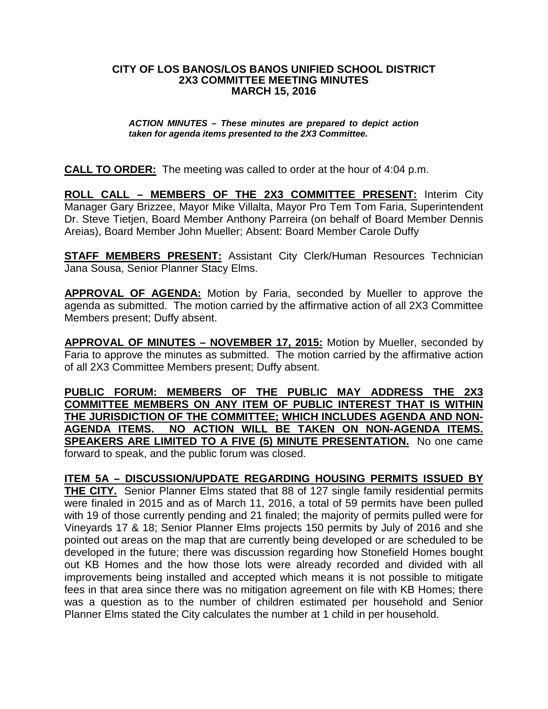## **CITY OF LOS BANOS/LOS BANOS UNIFIED SCHOOL DISTRICT 2X3 COMMITTEE MEETING MINUTES MARCH 15, 2016**

## *ACTION MINUTES – These minutes are prepared to depict action taken for agenda items presented to the 2X3 Committee.*

**CALL TO ORDER:** The meeting was called to order at the hour of 4:04 p.m.

**ROLL CALL – MEMBERS OF THE 2X3 COMMITTEE PRESENT:** Interim City Manager Gary Brizzee, Mayor Mike Villalta, Mayor Pro Tem Tom Faria, Superintendent Dr. Steve Tietjen, Board Member Anthony Parreira (on behalf of Board Member Dennis Areias), Board Member John Mueller; Absent: Board Member Carole Duffy

**STAFF MEMBERS PRESENT:** Assistant City Clerk/Human Resources Technician Jana Sousa, Senior Planner Stacy Elms.

**APPROVAL OF AGENDA:** Motion by Faria, seconded by Mueller to approve the agenda as submitted. The motion carried by the affirmative action of all 2X3 Committee Members present; Duffy absent.

**APPROVAL OF MINUTES – NOVEMBER 17, 2015:** Motion by Mueller, seconded by Faria to approve the minutes as submitted. The motion carried by the affirmative action of all 2X3 Committee Members present; Duffy absent.

**PUBLIC FORUM: MEMBERS OF THE PUBLIC MAY ADDRESS THE 2X3 COMMITTEE MEMBERS ON ANY ITEM OF PUBLIC INTEREST THAT IS WITHIN THE JURISDICTION OF THE COMMITTEE; WHICH INCLUDES AGENDA AND NON-AGENDA ITEMS. NO ACTION WILL BE TAKEN ON NON-AGENDA ITEMS. SPEAKERS ARE LIMITED TO A FIVE (5) MINUTE PRESENTATION.** No one came forward to speak, and the public forum was closed.

**ITEM 5A – DISCUSSION/UPDATE REGARDING HOUSING PERMITS ISSUED BY THE CITY.** Senior Planner Elms stated that 88 of 127 single family residential permits were finaled in 2015 and as of March 11, 2016, a total of 59 permits have been pulled with 19 of those currently pending and 21 finaled; the majority of permits pulled were for Vineyards 17 & 18; Senior Planner Elms projects 150 permits by July of 2016 and she pointed out areas on the map that are currently being developed or are scheduled to be developed in the future; there was discussion regarding how Stonefield Homes bought out KB Homes and the how those lots were already recorded and divided with all improvements being installed and accepted which means it is not possible to mitigate fees in that area since there was no mitigation agreement on file with KB Homes; there was a question as to the number of children estimated per household and Senior Planner Elms stated the City calculates the number at 1 child in per household.